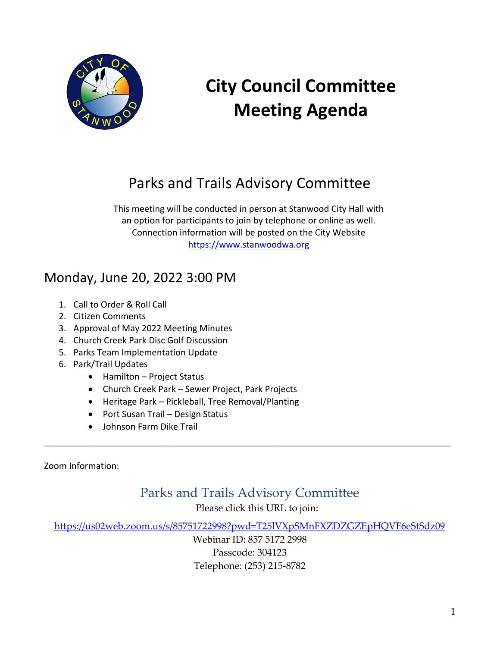

# **City Council Committee Meeting Agenda**

# Parks and Trails Advisory Committee

This meeting will be conducted in person at Stanwood City Hall with an option for participants to join by telephone or online as well. Connection information will be posted on the City Website [https://www.stanwoodwa.org](https://www.stanwoodwa.org/)

## Monday, June 20, 2022 3:00 PM

- 1. Call to Order & Roll Call
- 2. Citizen Comments
- 3. Approval of May 2022 Meeting Minutes
- 4. Church Creek Park Disc Golf Discussion
- 5. Parks Team Implementation Update
- 6. Park/Trail Updates
	- Hamilton Project Status
	- Church Creek Park Sewer Project, Park Projects
	- Heritage Park Pickleball, Tree Removal/Planting
	- Port Susan Trail Design Status
	- Johnson Farm Dike Trail

Zoom Information:

Parks and Trails Advisory Committee

**\_\_\_\_\_\_\_\_\_\_\_\_\_\_\_\_\_\_\_\_\_\_\_\_\_\_\_\_\_\_\_\_\_\_\_\_\_\_\_\_\_\_\_\_\_\_\_\_\_\_\_\_\_\_\_\_**

Please click this URL to join:

<https://us02web.zoom.us/s/85751722998?pwd=T25lVXpSMnFXZDZGZEpHQVF6eStSdz09>

Webinar ID: 857 5172 2998 Passcode: 304123 Telephone: (253) 215-8782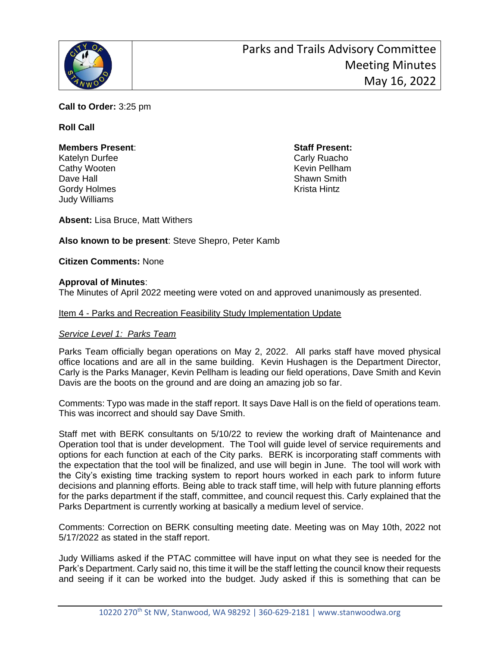

**Call to Order:** 3:25 pm

#### **Roll Call**

#### **Members Present**: **Staff Present:** Katelyn Durfee Carly Ruacho Cathy Wooten **Kevin Pellham** Dave Hall **Dave Hall** Shawn Smith

Judy Williams

Gordy Holmes **Krista Hintz** 

**Absent:** Lisa Bruce, Matt Withers

**Also known to be present**: Steve Shepro, Peter Kamb

**Citizen Comments:** None

#### **Approval of Minutes**:

The Minutes of April 2022 meeting were voted on and approved unanimously as presented.

#### Item 4 - Parks and Recreation Feasibility Study Implementation Update

#### *Service Level 1: Parks Team*

Parks Team officially began operations on May 2, 2022. All parks staff have moved physical office locations and are all in the same building. Kevin Hushagen is the Department Director, Carly is the Parks Manager, Kevin Pellham is leading our field operations, Dave Smith and Kevin Davis are the boots on the ground and are doing an amazing job so far.

Comments: Typo was made in the staff report. It says Dave Hall is on the field of operations team. This was incorrect and should say Dave Smith.

Staff met with BERK consultants on 5/10/22 to review the working draft of Maintenance and Operation tool that is under development. The Tool will guide level of service requirements and options for each function at each of the City parks. BERK is incorporating staff comments with the expectation that the tool will be finalized, and use will begin in June. The tool will work with the City's existing time tracking system to report hours worked in each park to inform future decisions and planning efforts. Being able to track staff time, will help with future planning efforts for the parks department if the staff, committee, and council request this. Carly explained that the Parks Department is currently working at basically a medium level of service.

Comments: Correction on BERK consulting meeting date. Meeting was on May 10th, 2022 not 5/17/2022 as stated in the staff report.

Judy Williams asked if the PTAC committee will have input on what they see is needed for the Park's Department. Carly said no, this time it will be the staff letting the council know their requests and seeing if it can be worked into the budget. Judy asked if this is something that can be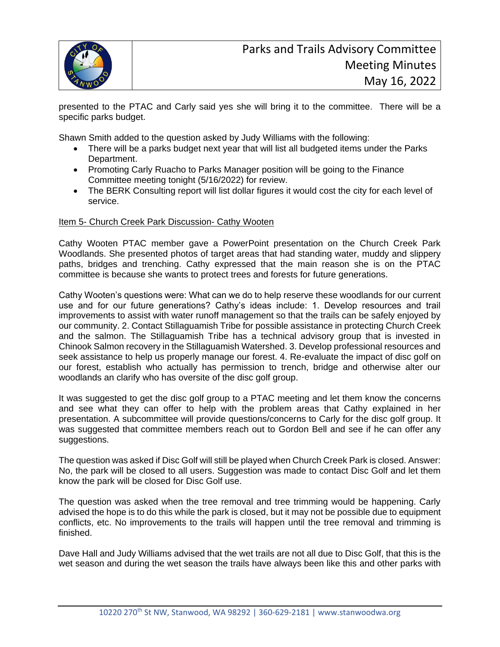

presented to the PTAC and Carly said yes she will bring it to the committee. There will be a specific parks budget.

Shawn Smith added to the question asked by Judy Williams with the following:

- There will be a parks budget next year that will list all budgeted items under the Parks Department.
- Promoting Carly Ruacho to Parks Manager position will be going to the Finance Committee meeting tonight (5/16/2022) for review.
- The BERK Consulting report will list dollar figures it would cost the city for each level of service.

#### Item 5- Church Creek Park Discussion- Cathy Wooten

Cathy Wooten PTAC member gave a PowerPoint presentation on the Church Creek Park Woodlands. She presented photos of target areas that had standing water, muddy and slippery paths, bridges and trenching. Cathy expressed that the main reason she is on the PTAC committee is because she wants to protect trees and forests for future generations.

Cathy Wooten's questions were: What can we do to help reserve these woodlands for our current use and for our future generations? Cathy's ideas include: 1. Develop resources and trail improvements to assist with water runoff management so that the trails can be safely enjoyed by our community. 2. Contact Stillaguamish Tribe for possible assistance in protecting Church Creek and the salmon. The Stillaguamish Tribe has a technical advisory group that is invested in Chinook Salmon recovery in the Stillaguamish Watershed. 3. Develop professional resources and seek assistance to help us properly manage our forest. 4. Re-evaluate the impact of disc golf on our forest, establish who actually has permission to trench, bridge and otherwise alter our woodlands an clarify who has oversite of the disc golf group.

It was suggested to get the disc golf group to a PTAC meeting and let them know the concerns and see what they can offer to help with the problem areas that Cathy explained in her presentation. A subcommittee will provide questions/concerns to Carly for the disc golf group. It was suggested that committee members reach out to Gordon Bell and see if he can offer any suggestions.

The question was asked if Disc Golf will still be played when Church Creek Park is closed. Answer: No, the park will be closed to all users. Suggestion was made to contact Disc Golf and let them know the park will be closed for Disc Golf use.

The question was asked when the tree removal and tree trimming would be happening. Carly advised the hope is to do this while the park is closed, but it may not be possible due to equipment conflicts, etc. No improvements to the trails will happen until the tree removal and trimming is finished.

Dave Hall and Judy Williams advised that the wet trails are not all due to Disc Golf, that this is the wet season and during the wet season the trails have always been like this and other parks with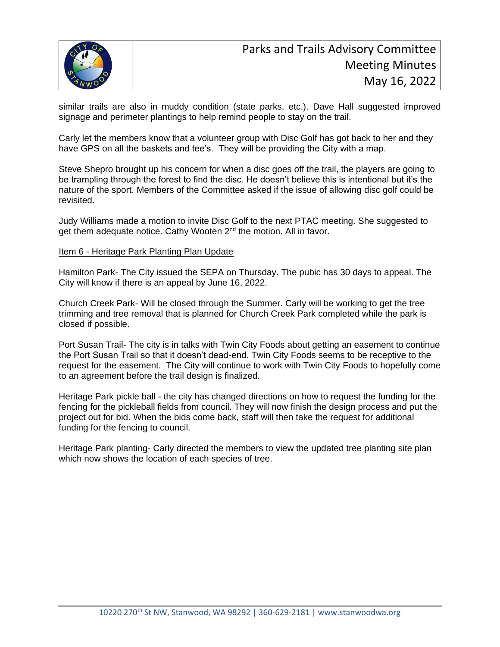

similar trails are also in muddy condition (state parks, etc.). Dave Hall suggested improved signage and perimeter plantings to help remind people to stay on the trail.

Carly let the members know that a volunteer group with Disc Golf has got back to her and they have GPS on all the baskets and tee's. They will be providing the City with a map.

Steve Shepro brought up his concern for when a disc goes off the trail, the players are going to be trampling through the forest to find the disc. He doesn't believe this is intentional but it's the nature of the sport. Members of the Committee asked if the issue of allowing disc golf could be revisited.

Judy Williams made a motion to invite Disc Golf to the next PTAC meeting. She suggested to get them adequate notice. Cathy Wooten 2<sup>nd</sup> the motion. All in favor.

#### Item 6 - Heritage Park Planting Plan Update

Hamilton Park- The City issued the SEPA on Thursday. The pubic has 30 days to appeal. The City will know if there is an appeal by June 16, 2022.

Church Creek Park- Will be closed through the Summer. Carly will be working to get the tree trimming and tree removal that is planned for Church Creek Park completed while the park is closed if possible.

Port Susan Trail- The city is in talks with Twin City Foods about getting an easement to continue the Port Susan Trail so that it doesn't dead-end. Twin City Foods seems to be receptive to the request for the easement. The City will continue to work with Twin City Foods to hopefully come to an agreement before the trail design is finalized.

Heritage Park pickle ball - the city has changed directions on how to request the funding for the fencing for the pickleball fields from council. They will now finish the design process and put the project out for bid. When the bids come back, staff will then take the request for additional funding for the fencing to council.

Heritage Park planting- Carly directed the members to view the updated tree planting site plan which now shows the location of each species of tree.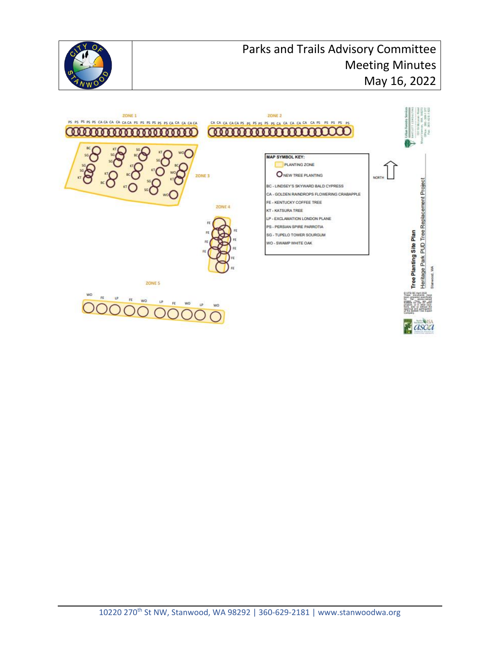

### Parks and Trails Advisory Committee Meeting Minutes May 16, 2022

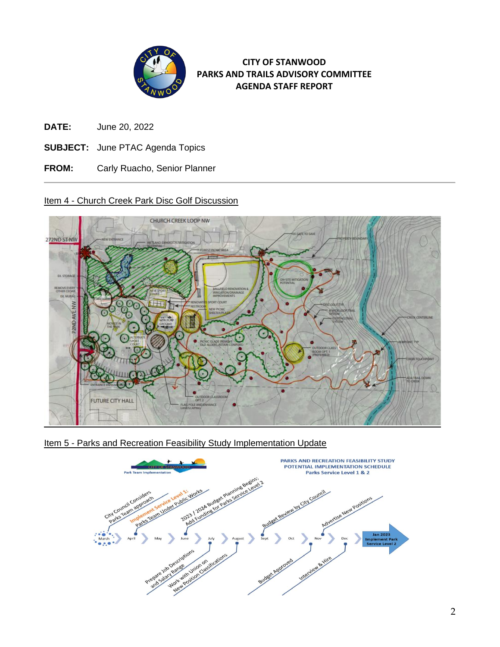

#### **CITY OF STANWOOD PARKS AND TRAILS ADVISORY COMMITTEE AGENDA STAFF REPORT**

- **DATE:** June 20, 2022
- **SUBJECT:** June PTAC Agenda Topics
- **FROM:** Carly Ruacho, Senior Planner

#### Item 4 - Church Creek Park Disc Golf Discussion



Item 5 - Parks and Recreation Feasibility Study Implementation Update

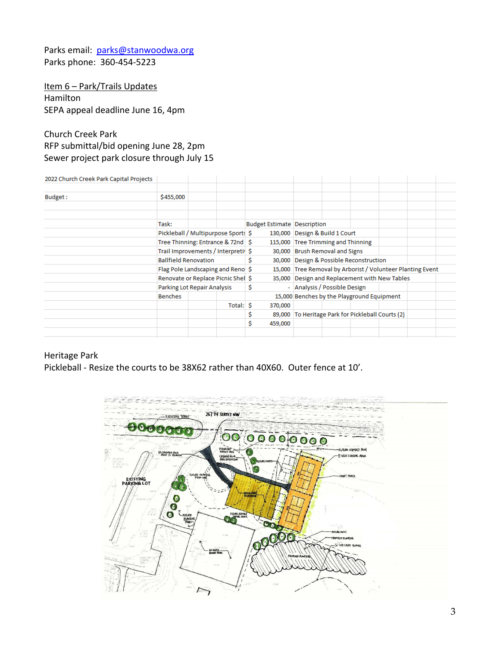Parks email: [parks@stanwoodwa.org](mailto:parks@stanwoodwa.org) Parks phone: 360-454-5223

Item 6 - Park/Trails Updates Hamilton SEPA appeal deadline June 16, 4pm

#### Church Creek Park RFP submittal/bid opening June 28, 2pm Sewer project park closure through July 15

2022 Church Creek Park Capital Projects

| ESEE SHORSH SICERT ONN Suphem Frojests |                                                                                                                                       |  |           |                                    |                                                            |                                    |                                            |  |  |  |
|----------------------------------------|---------------------------------------------------------------------------------------------------------------------------------------|--|-----------|------------------------------------|------------------------------------------------------------|------------------------------------|--------------------------------------------|--|--|--|
|                                        |                                                                                                                                       |  |           |                                    |                                                            |                                    |                                            |  |  |  |
| Budget:                                | \$455,000                                                                                                                             |  |           |                                    |                                                            |                                    |                                            |  |  |  |
|                                        |                                                                                                                                       |  |           |                                    |                                                            |                                    |                                            |  |  |  |
|                                        |                                                                                                                                       |  |           |                                    |                                                            |                                    |                                            |  |  |  |
|                                        | Task:                                                                                                                                 |  |           | <b>Budget Estimate Description</b> |                                                            |                                    |                                            |  |  |  |
|                                        | Pickleball / Multipurpose Sports \$                                                                                                   |  |           |                                    | 130,000 Design & Build 1 Court                             |                                    |                                            |  |  |  |
|                                        | Tree Thinning: Entrance & 72nd   \$                                                                                                   |  |           |                                    |                                                            | 115,000 Tree Trimming and Thinning |                                            |  |  |  |
|                                        | Trail Improvements / Interpretiv \$                                                                                                   |  |           |                                    |                                                            | 30,000 Brush Removal and Signs     |                                            |  |  |  |
|                                        | <b>Ballfield Renovation</b><br>Flag Pole Landscaping and Reno \$<br>Renovate or Replace Picnic Shel \$<br>Parking Lot Repair Analysis |  |           |                                    | 30,000 Design & Possible Reconstruction                    |                                    |                                            |  |  |  |
|                                        |                                                                                                                                       |  |           |                                    | 15,000 Tree Removal by Arborist / Volunteer Planting Event |                                    |                                            |  |  |  |
|                                        |                                                                                                                                       |  |           |                                    | 35,000 Design and Replacement with New Tables              |                                    |                                            |  |  |  |
|                                        |                                                                                                                                       |  |           |                                    | - Analysis / Possible Design                               |                                    |                                            |  |  |  |
|                                        | <b>Benches</b>                                                                                                                        |  |           |                                    |                                                            |                                    | 15,000 Benches by the Playground Equipment |  |  |  |
|                                        |                                                                                                                                       |  | Total: \$ | 370,000                            |                                                            |                                    |                                            |  |  |  |
|                                        |                                                                                                                                       |  |           |                                    | 89,000 To Heritage Park for Pickleball Courts (2)          |                                    |                                            |  |  |  |
|                                        |                                                                                                                                       |  |           | 459,000                            |                                                            |                                    |                                            |  |  |  |
|                                        |                                                                                                                                       |  |           |                                    |                                                            |                                    |                                            |  |  |  |

#### Heritage Park

Pickleball - Resize the courts to be 38X62 rather than 40X60. Outer fence at 10'.